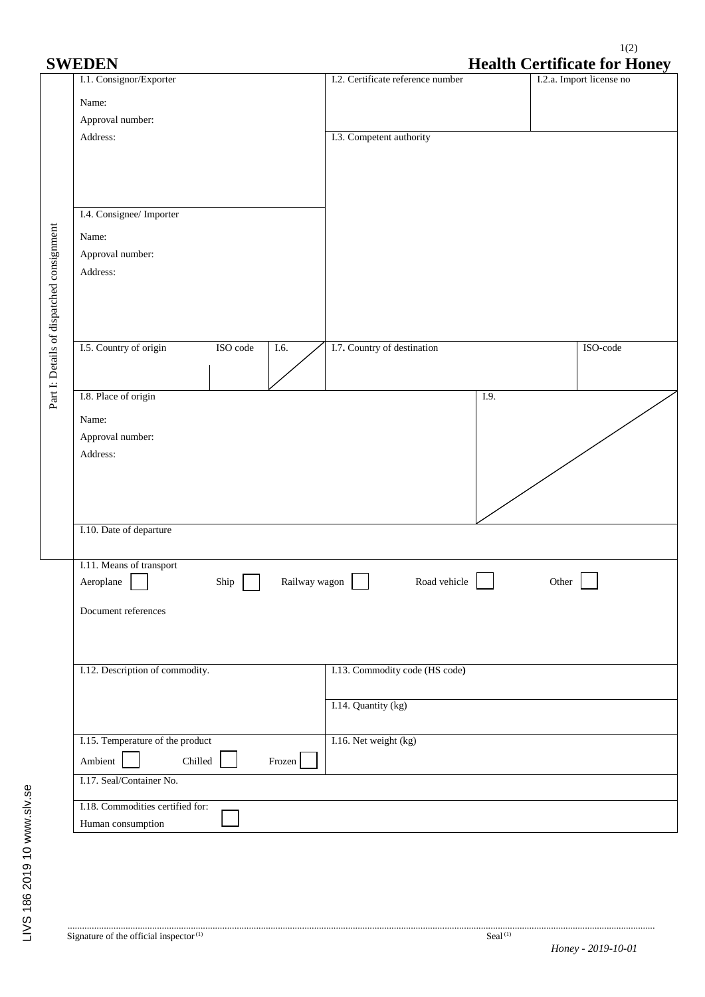## 1(2) **SWEDEN Health Certificate for Honey**

|                                           | J VV LIDIJI V                              | <b>TICARTE CELUIRALE TOL TIONCY</b> |                          |  |  |
|-------------------------------------------|--------------------------------------------|-------------------------------------|--------------------------|--|--|
|                                           | I.1. Consignor/Exporter                    | I.2. Certificate reference number   | I.2.a. Import license no |  |  |
|                                           | Name:                                      |                                     |                          |  |  |
|                                           | Approval number:                           |                                     |                          |  |  |
|                                           | Address:                                   | I.3. Competent authority            |                          |  |  |
|                                           |                                            |                                     |                          |  |  |
|                                           |                                            |                                     |                          |  |  |
|                                           |                                            |                                     |                          |  |  |
|                                           | I.4. Consignee/ Importer                   |                                     |                          |  |  |
|                                           |                                            |                                     |                          |  |  |
|                                           | Name:                                      |                                     |                          |  |  |
|                                           | Approval number:                           |                                     |                          |  |  |
|                                           | Address:                                   |                                     |                          |  |  |
|                                           |                                            |                                     |                          |  |  |
|                                           |                                            |                                     |                          |  |  |
|                                           |                                            |                                     |                          |  |  |
|                                           | I.5. Country of origin<br>ISO code<br>I.6. | I.7. Country of destination         | ISO-code                 |  |  |
|                                           |                                            |                                     |                          |  |  |
|                                           |                                            |                                     |                          |  |  |
| Part I: Details of dispatched consignment | I.8. Place of origin                       | I.9.                                |                          |  |  |
|                                           | Name:                                      |                                     |                          |  |  |
|                                           | Approval number:                           |                                     |                          |  |  |
|                                           | Address:                                   |                                     |                          |  |  |
|                                           |                                            |                                     |                          |  |  |
|                                           |                                            |                                     |                          |  |  |
|                                           |                                            |                                     |                          |  |  |
|                                           | I.10. Date of departure                    |                                     |                          |  |  |
|                                           |                                            |                                     |                          |  |  |
|                                           | I.11. Means of transport                   |                                     |                          |  |  |
|                                           | Railway wagon<br>Aeroplane<br>Ship         | Road vehicle                        | Other                    |  |  |
|                                           |                                            |                                     |                          |  |  |
|                                           | Document references                        |                                     |                          |  |  |
|                                           |                                            |                                     |                          |  |  |
|                                           |                                            |                                     |                          |  |  |
|                                           | I.12. Description of commodity.            | I.13. Commodity code (HS code)      |                          |  |  |
|                                           |                                            |                                     |                          |  |  |
|                                           |                                            | I.14. Quantity (kg)                 |                          |  |  |
|                                           |                                            |                                     |                          |  |  |
|                                           | I.15. Temperature of the product           | I.16. Net weight (kg)               |                          |  |  |
|                                           | Ambient<br>Chilled<br>Frozen               |                                     |                          |  |  |
|                                           |                                            |                                     |                          |  |  |
|                                           | I.17. Seal/Container No.                   |                                     |                          |  |  |
|                                           | I.18. Commodities certified for:           |                                     |                          |  |  |
|                                           | Human consumption                          |                                     |                          |  |  |
|                                           |                                            |                                     |                          |  |  |